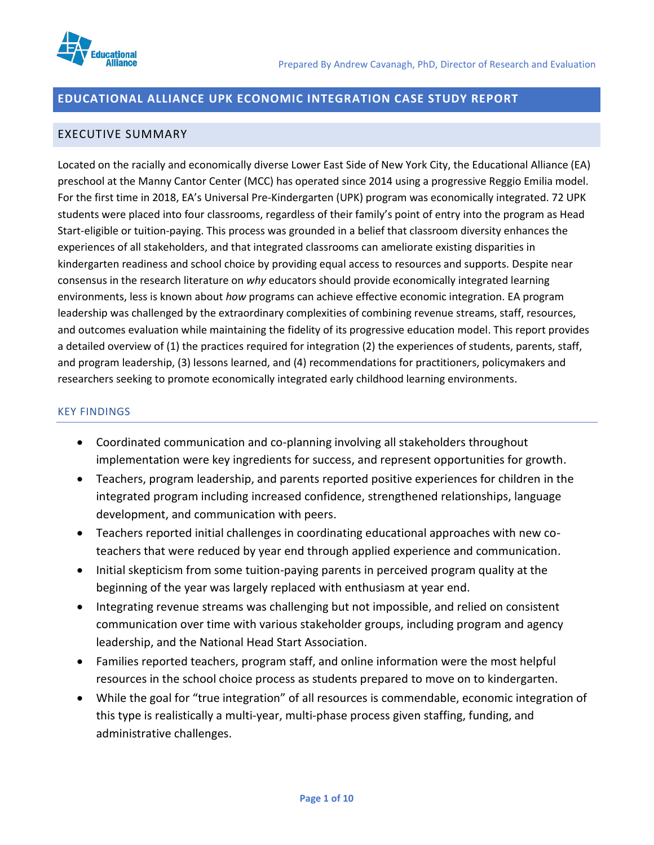

## **EDUCATIONAL ALLIANCE UPK ECONOMIC INTEGRATION CASE STUDY REPORT**

### EXECUTIVE SUMMARY

Located on the racially and economically diverse Lower East Side of New York City, the Educational Alliance (EA) preschool at the Manny Cantor Center (MCC) has operated since 2014 using a progressive Reggio Emilia model. For the first time in 2018, EA's Universal Pre-Kindergarten (UPK) program was economically integrated. 72 UPK students were placed into four classrooms, regardless of their family's point of entry into the program as Head Start-eligible or tuition-paying. This process was grounded in a belief that classroom diversity enhances the experiences of all stakeholders, and that integrated classrooms can ameliorate existing disparities in kindergarten readiness and school choice by providing equal access to resources and supports. Despite near consensus in the research literature on *why* educators should provide economically integrated learning environments, less is known about *how* programs can achieve effective economic integration. EA program leadership was challenged by the extraordinary complexities of combining revenue streams, staff, resources, and outcomes evaluation while maintaining the fidelity of its progressive education model. This report provides a detailed overview of (1) the practices required for integration (2) the experiences of students, parents, staff, and program leadership, (3) lessons learned, and (4) recommendations for practitioners, policymakers and researchers seeking to promote economically integrated early childhood learning environments.

#### KEY FINDINGS

- Coordinated communication and co-planning involving all stakeholders throughout implementation were key ingredients for success, and represent opportunities for growth.
- Teachers, program leadership, and parents reported positive experiences for children in the integrated program including increased confidence, strengthened relationships, language development, and communication with peers.
- Teachers reported initial challenges in coordinating educational approaches with new coteachers that were reduced by year end through applied experience and communication.
- Initial skepticism from some tuition-paying parents in perceived program quality at the beginning of the year was largely replaced with enthusiasm at year end.
- Integrating revenue streams was challenging but not impossible, and relied on consistent communication over time with various stakeholder groups, including program and agency leadership, and the National Head Start Association.
- Families reported teachers, program staff, and online information were the most helpful resources in the school choice process as students prepared to move on to kindergarten.
- While the goal for "true integration" of all resources is commendable, economic integration of this type is realistically a multi-year, multi-phase process given staffing, funding, and administrative challenges.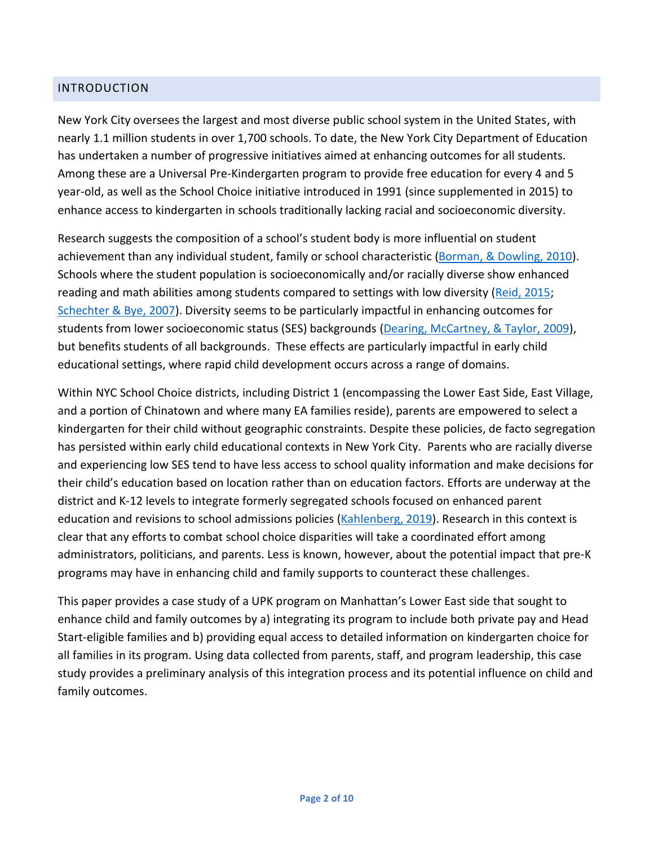### INTRODUCTION

New York City oversees the largest and most diverse public school system in the United States, with nearly 1.1 million students in over 1,700 schools. To date, the New York City Department of Education has undertaken a number of progressive initiatives aimed at enhancing outcomes for all students. Among these are a Universal Pre-Kindergarten program to provide free education for every 4 and 5 year-old, as well as the School Choice initiative introduced in 1991 (since supplemented in 2015) to enhance access to kindergarten in schools traditionally lacking racial and socioeconomic diversity.

Research suggests the composition of a school's student body is more influential on student achievement than any individual student, family or school characteristic [\(Borman, & Dowling, 2010\)](https://www.tcrecord.org/content.asp?contentid=15664). Schools where the student population is socioeconomically and/or racially diverse show enhanced reading and math abilities among students compared to settings with low diversity [\(Reid, 2015;](https://heinonline.org/HOL/LandingPage?handle=hein.journals/dlr119&div=23&id=&page=) [Schechter & Bye, 2007\)](https://www.sciencedirect.com/science/article/pii/S0885200606000846). Diversity seems to be particularly impactful in enhancing outcomes for students from lower socioeconomic status (SES) backgrounds [\(Dearing, McCartney, & Taylor, 2009\)](https://onlinelibrary.wiley.com/doi/full/10.1111/j.1467-8624.2009.01336.x), but benefits students of all backgrounds. These effects are particularly impactful in early child educational settings, where rapid child development occurs across a range of domains.

Within NYC School Choice districts, including District 1 (encompassing the Lower East Side, East Village, and a portion of Chinatown and where many EA families reside), parents are empowered to select a kindergarten for their child without geographic constraints. Despite these policies, de facto segregation has persisted within early child educational contexts in New York City. Parents who are racially diverse and experiencing low SES tend to have less access to school quality information and make decisions for their child's education based on location rather than on education factors. Efforts are underway at the district and K-12 levels to integrate formerly segregated schools focused on enhanced parent education and revisions to school admissions policies [\(Kahlenberg, 2019\)](https://production-tcf.imgix.net/app/uploads/2016/10/13195652/StoriesOfSchoolIntegration.pdf). Research in this context is clear that any efforts to combat school choice disparities will take a coordinated effort among administrators, politicians, and parents. Less is known, however, about the potential impact that pre-K programs may have in enhancing child and family supports to counteract these challenges.

This paper provides a case study of a UPK program on Manhattan's Lower East side that sought to enhance child and family outcomes by a) integrating its program to include both private pay and Head Start-eligible families and b) providing equal access to detailed information on kindergarten choice for all families in its program. Using data collected from parents, staff, and program leadership, this case study provides a preliminary analysis of this integration process and its potential influence on child and family outcomes.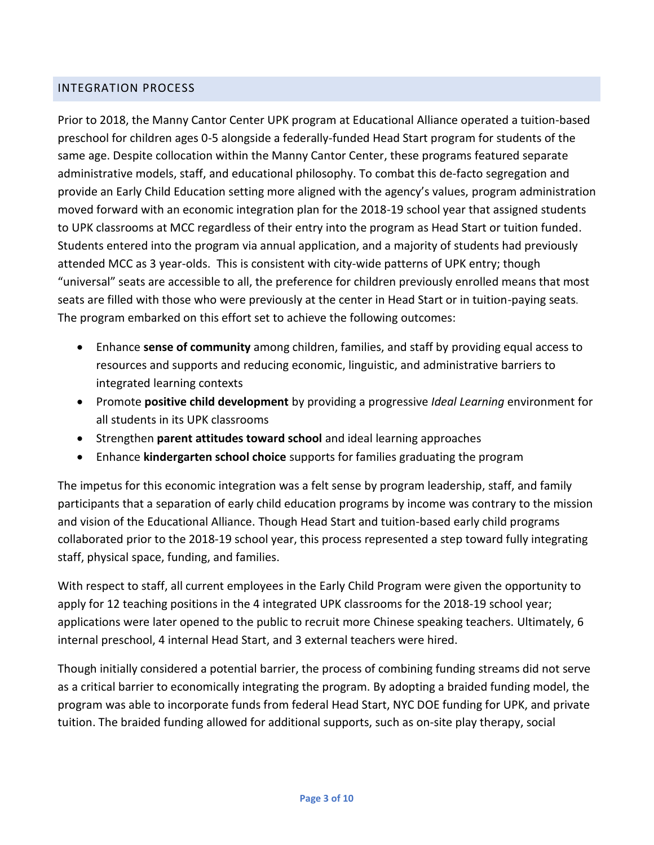### INTEGRATION PROCESS

Prior to 2018, the Manny Cantor Center UPK program at Educational Alliance operated a tuition-based preschool for children ages 0-5 alongside a federally-funded Head Start program for students of the same age. Despite collocation within the Manny Cantor Center, these programs featured separate administrative models, staff, and educational philosophy. To combat this de-facto segregation and provide an Early Child Education setting more aligned with the agency's values, program administration moved forward with an economic integration plan for the 2018-19 school year that assigned students to UPK classrooms at MCC regardless of their entry into the program as Head Start or tuition funded. Students entered into the program via annual application, and a majority of students had previously attended MCC as 3 year-olds. This is consistent with city-wide patterns of UPK entry; though "universal" seats are accessible to all, the preference for children previously enrolled means that most seats are filled with those who were previously at the center in Head Start or in tuition-paying seats. The program embarked on this effort set to achieve the following outcomes:

- Enhance **sense of community** among children, families, and staff by providing equal access to resources and supports and reducing economic, linguistic, and administrative barriers to integrated learning contexts
- Promote **positive child development** by providing a progressive *Ideal Learning* environment for all students in its UPK classrooms
- Strengthen **parent attitudes toward school** and ideal learning approaches
- Enhance **kindergarten school choice** supports for families graduating the program

The impetus for this economic integration was a felt sense by program leadership, staff, and family participants that a separation of early child education programs by income was contrary to the mission and vision of the Educational Alliance. Though Head Start and tuition-based early child programs collaborated prior to the 2018-19 school year, this process represented a step toward fully integrating staff, physical space, funding, and families.

With respect to staff, all current employees in the Early Child Program were given the opportunity to apply for 12 teaching positions in the 4 integrated UPK classrooms for the 2018-19 school year; applications were later opened to the public to recruit more Chinese speaking teachers. Ultimately, 6 internal preschool, 4 internal Head Start, and 3 external teachers were hired.

Though initially considered a potential barrier, the process of combining funding streams did not serve as a critical barrier to economically integrating the program. By adopting a braided funding model, the program was able to incorporate funds from federal Head Start, NYC DOE funding for UPK, and private tuition. The braided funding allowed for additional supports, such as on-site play therapy, social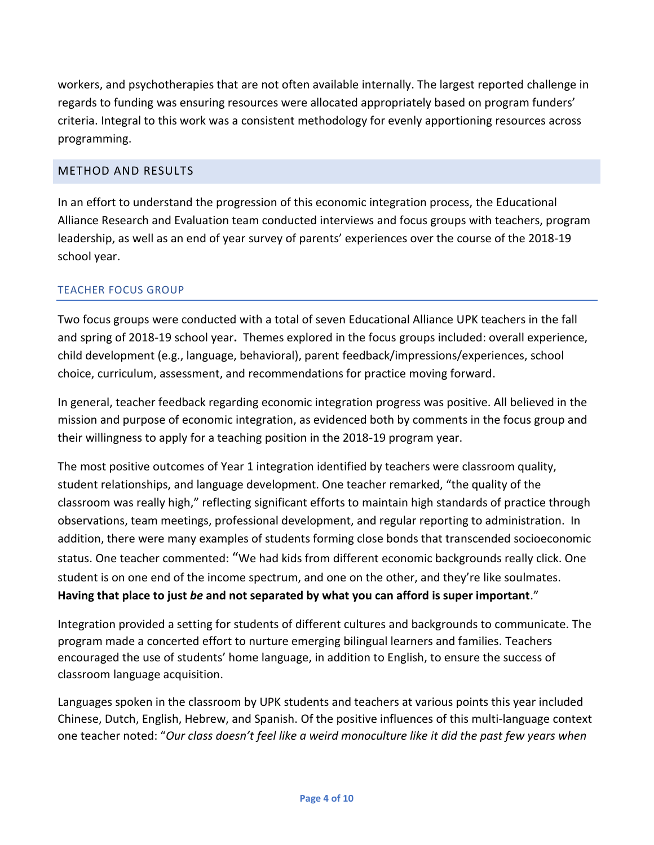workers, and psychotherapies that are not often available internally. The largest reported challenge in regards to funding was ensuring resources were allocated appropriately based on program funders' criteria. Integral to this work was a consistent methodology for evenly apportioning resources across programming.

# METHOD AND RESULTS

In an effort to understand the progression of this economic integration process, the Educational Alliance Research and Evaluation team conducted interviews and focus groups with teachers, program leadership, as well as an end of year survey of parents' experiences over the course of the 2018-19 school year.

## TEACHER FOCUS GROUP

Two focus groups were conducted with a total of seven Educational Alliance UPK teachers in the fall and spring of 2018-19 school year**.** Themes explored in the focus groups included: overall experience, child development (e.g., language, behavioral), parent feedback/impressions/experiences, school choice, curriculum, assessment, and recommendations for practice moving forward.

In general, teacher feedback regarding economic integration progress was positive. All believed in the mission and purpose of economic integration, as evidenced both by comments in the focus group and their willingness to apply for a teaching position in the 2018-19 program year.

The most positive outcomes of Year 1 integration identified by teachers were classroom quality, student relationships, and language development. One teacher remarked, "the quality of the classroom was really high," reflecting significant efforts to maintain high standards of practice through observations, team meetings, professional development, and regular reporting to administration. In addition, there were many examples of students forming close bonds that transcended socioeconomic status. One teacher commented: "We had kids from different economic backgrounds really click. One student is on one end of the income spectrum, and one on the other, and they're like soulmates. **Having that place to just** *be* **and not separated by what you can afford is super important**."

Integration provided a setting for students of different cultures and backgrounds to communicate. The program made a concerted effort to nurture emerging bilingual learners and families. Teachers encouraged the use of students' home language, in addition to English, to ensure the success of classroom language acquisition.

Languages spoken in the classroom by UPK students and teachers at various points this year included Chinese, Dutch, English, Hebrew, and Spanish. Of the positive influences of this multi-language context one teacher noted: "*Our class doesn't feel like a weird monoculture like it did the past few years when*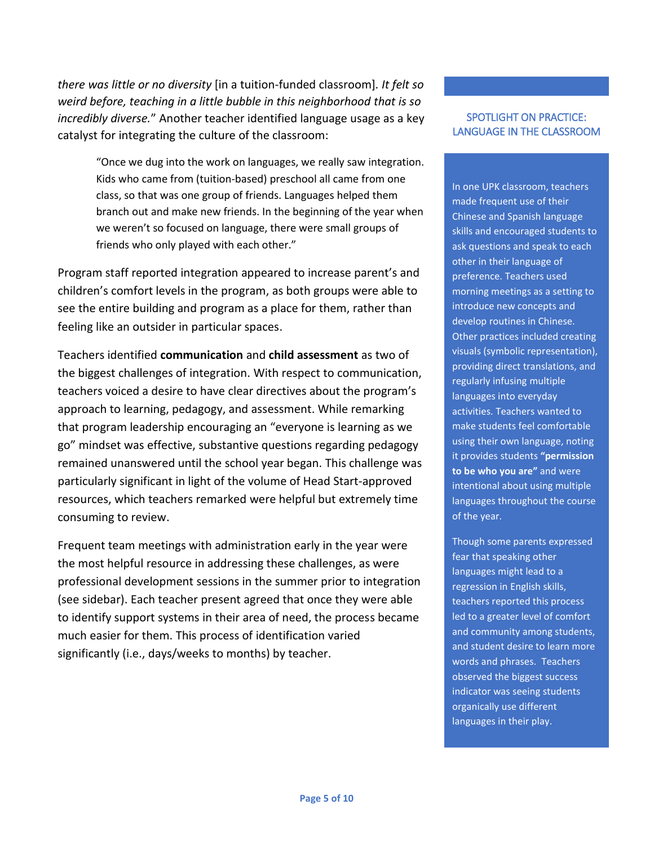*there was little or no diversity* [in a tuition-funded classroom]*. It felt so weird before, teaching in a little bubble in this neighborhood that is so incredibly diverse.*" Another teacher identified language usage as a key catalyst for integrating the culture of the classroom:

> "Once we dug into the work on languages, we really saw integration. Kids who came from (tuition-based) preschool all came from one class, so that was one group of friends. Languages helped them branch out and make new friends. In the beginning of the year when we weren't so focused on language, there were small groups of friends who only played with each other."

Program staff reported integration appeared to increase parent's and children's comfort levels in the program, as both groups were able to see the entire building and program as a place for them, rather than feeling like an outsider in particular spaces.

Teachers identified **communication** and **child assessment** as two of the biggest challenges of integration. With respect to communication, teachers voiced a desire to have clear directives about the program's approach to learning, pedagogy, and assessment. While remarking that program leadership encouraging an "everyone is learning as we go" mindset was effective, substantive questions regarding pedagogy remained unanswered until the school year began. This challenge was particularly significant in light of the volume of Head Start-approved resources, which teachers remarked were helpful but extremely time consuming to review.

Frequent team meetings with administration early in the year were the most helpful resource in addressing these challenges, as were professional development sessions in the summer prior to integration (see sidebar). Each teacher present agreed that once they were able to identify support systems in their area of need, the process became much easier for them. This process of identification varied significantly (i.e., days/weeks to months) by teacher.

#### SPOTLIGHT ON PRACTICE: LANGUAGE IN THE CLASSROOM

In one UPK classroom, teachers made frequent use of their Chinese and Spanish language skills and encouraged students to ask questions and speak to each other in their language of preference. Teachers used morning meetings as a setting to introduce new concepts and develop routines in Chinese. Other practices included creating visuals (symbolic representation), providing direct translations, and regularly infusing multiple languages into everyday activities. Teachers wanted to make students feel comfortable using their own language, noting it provides students **"permission to be who you are"** and were intentional about using multiple languages throughout the course of the year.

Though some parents expressed fear that speaking other languages might lead to a regression in English skills, teachers reported this process led to a greater level of comfort and community among students, and student desire to learn more words and phrases. Teachers observed the biggest success indicator was seeing students organically use different languages in their play.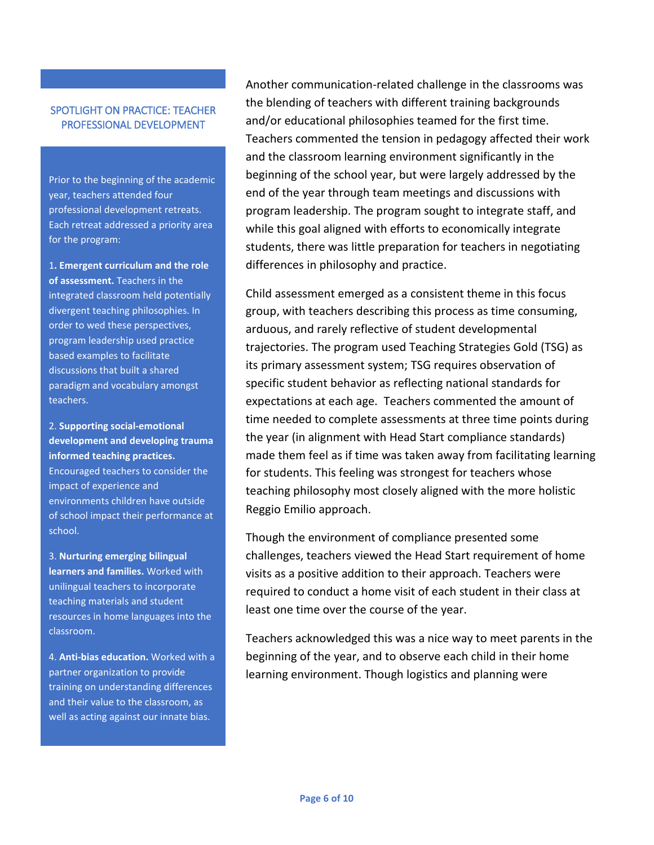#### SPOTLIGHT ON PRACTICE: TEACHER PROFESSIONAL DEVELOPMENT

Prior to the beginning of the academic year, teachers attended four professional development retreats. Each retreat addressed a priority area for the program:

1**. Emergent curriculum and the role of assessment.** Teachers in the integrated classroom held potentially divergent teaching philosophies. In order to wed these perspectives, program leadership used practice based examples to facilitate discussions that built a shared paradigm and vocabulary amongst teachers.

2. **Supporting social-emotional development and developing trauma informed teaching practices.** Encouraged teachers to consider the impact of experience and environments children have outside of school impact their performance at school.

3. **Nurturing emerging bilingual learners and families.** Worked with unilingual teachers to incorporate teaching materials and student resources in home languages into the classroom.

4. **Anti-bias education.** Worked with a partner organization to provide training on understanding differences and their value to the classroom, as well as acting against our innate bias.

Another communication-related challenge in the classrooms was the blending of teachers with different training backgrounds and/or educational philosophies teamed for the first time. Teachers commented the tension in pedagogy affected their work and the classroom learning environment significantly in the beginning of the school year, but were largely addressed by the end of the year through team meetings and discussions with program leadership. The program sought to integrate staff, and while this goal aligned with efforts to economically integrate students, there was little preparation for teachers in negotiating differences in philosophy and practice.

Child assessment emerged as a consistent theme in this focus group, with teachers describing this process as time consuming, arduous, and rarely reflective of student developmental trajectories. The program used Teaching Strategies Gold (TSG) as its primary assessment system; TSG requires observation of specific student behavior as reflecting national standards for expectations at each age. Teachers commented the amount of time needed to complete assessments at three time points during the year (in alignment with Head Start compliance standards) made them feel as if time was taken away from facilitating learning for students. This feeling was strongest for teachers whose teaching philosophy most closely aligned with the more holistic Reggio Emilio approach.

Though the environment of compliance presented some challenges, teachers viewed the Head Start requirement of home visits as a positive addition to their approach. Teachers were required to conduct a home visit of each student in their class at least one time over the course of the year.

Teachers acknowledged this was a nice way to meet parents in the beginning of the year, and to observe each child in their home learning environment. Though logistics and planning were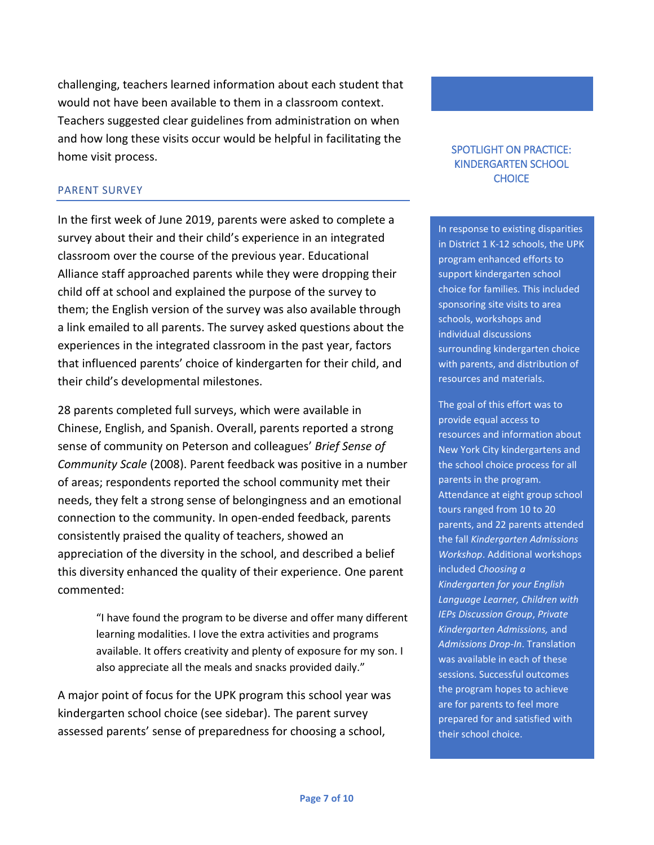challenging, teachers learned information about each student that would not have been available to them in a classroom context. Teachers suggested clear guidelines from administration on when and how long these visits occur would be helpful in facilitating the home visit process.

#### PARENT SURVEY

In the first week of June 2019, parents were asked to complete a survey about their and their child's experience in an integrated classroom over the course of the previous year. Educational Alliance staff approached parents while they were dropping their child off at school and explained the purpose of the survey to them; the English version of the survey was also available through a link emailed to all parents. The survey asked questions about the experiences in the integrated classroom in the past year, factors that influenced parents' choice of kindergarten for their child, and their child's developmental milestones.

28 parents completed full surveys, which were available in Chinese, English, and Spanish. Overall, parents reported a strong sense of community on Peterson and colleagues' *Brief Sense of Community Scale* (2008). Parent feedback was positive in a number of areas; respondents reported the school community met their needs, they felt a strong sense of belongingness and an emotional connection to the community. In open-ended feedback, parents consistently praised the quality of teachers, showed an appreciation of the diversity in the school, and described a belief this diversity enhanced the quality of their experience. One parent commented:

> "I have found the program to be diverse and offer many different learning modalities. I love the extra activities and programs available. It offers creativity and plenty of exposure for my son. I also appreciate all the meals and snacks provided daily."

A major point of focus for the UPK program this school year was kindergarten school choice (see sidebar). The parent survey assessed parents' sense of preparedness for choosing a school,

#### SPOTLIGHT ON PRACTICE: KINDERGARTEN SCHOOL **CHOICE**

In response to existing disparities in District 1 K-12 schools, the UPK program enhanced efforts to support kindergarten school choice for families. This included sponsoring site visits to area schools, workshops and individual discussions surrounding kindergarten choice with parents, and distribution of resources and materials.

The goal of this effort was to provide equal access to resources and information about New York City kindergartens and the school choice process for all parents in the program. Attendance at eight group school tours ranged from 10 to 20 parents, and 22 parents attended the fall *Kindergarten Admissions Workshop*. Additional workshops included *Choosing a Kindergarten for your English Language Learner, Children with IEPs Discussion Group*, *Private Kindergarten Admissions,* and *Admissions Drop-In*. Translation was available in each of these sessions. Successful outcomes the program hopes to achieve are for parents to feel more prepared for and satisfied with their school choice.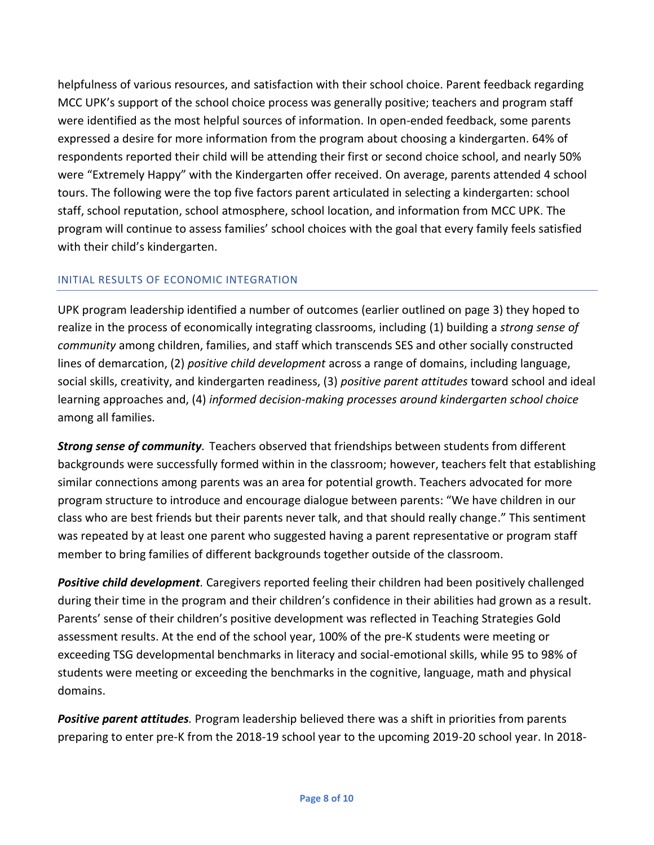helpfulness of various resources, and satisfaction with their school choice. Parent feedback regarding MCC UPK's support of the school choice process was generally positive; teachers and program staff were identified as the most helpful sources of information. In open-ended feedback, some parents expressed a desire for more information from the program about choosing a kindergarten. 64% of respondents reported their child will be attending their first or second choice school, and nearly 50% were "Extremely Happy" with the Kindergarten offer received. On average, parents attended 4 school tours. The following were the top five factors parent articulated in selecting a kindergarten: school staff, school reputation, school atmosphere, school location, and information from MCC UPK. The program will continue to assess families' school choices with the goal that every family feels satisfied with their child's kindergarten.

## INITIAL RESULTS OF ECONOMIC INTEGRATION

UPK program leadership identified a number of outcomes (earlier outlined on page 3) they hoped to realize in the process of economically integrating classrooms, including (1) building a *strong sense of community* among children, families, and staff which transcends SES and other socially constructed lines of demarcation, (2) *positive child development* across a range of domains, including language, social skills, creativity, and kindergarten readiness, (3) *positive parent attitudes* toward school and ideal learning approaches and, (4) *informed decision-making processes around kindergarten school choice* among all families.

*Strong sense of community.* Teachers observed that friendships between students from different backgrounds were successfully formed within in the classroom; however, teachers felt that establishing similar connections among parents was an area for potential growth. Teachers advocated for more program structure to introduce and encourage dialogue between parents: "We have children in our class who are best friends but their parents never talk, and that should really change." This sentiment was repeated by at least one parent who suggested having a parent representative or program staff member to bring families of different backgrounds together outside of the classroom.

*Positive child development.* Caregivers reported feeling their children had been positively challenged during their time in the program and their children's confidence in their abilities had grown as a result. Parents' sense of their children's positive development was reflected in Teaching Strategies Gold assessment results. At the end of the school year, 100% of the pre-K students were meeting or exceeding TSG developmental benchmarks in literacy and social-emotional skills, while 95 to 98% of students were meeting or exceeding the benchmarks in the cognitive, language, math and physical domains.

*Positive parent attitudes.* Program leadership believed there was a shift in priorities from parents preparing to enter pre-K from the 2018-19 school year to the upcoming 2019-20 school year. In 2018-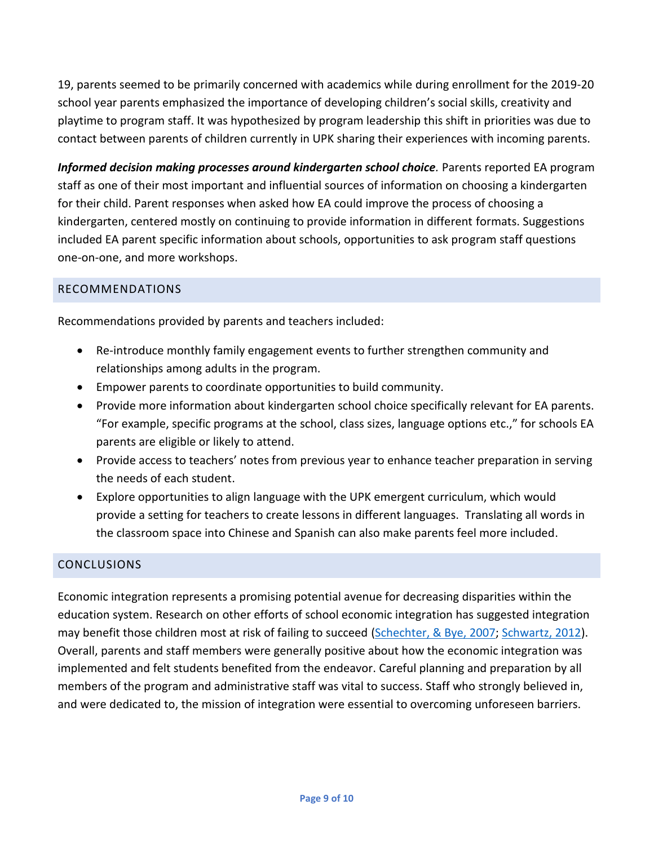19, parents seemed to be primarily concerned with academics while during enrollment for the 2019-20 school year parents emphasized the importance of developing children's social skills, creativity and playtime to program staff. It was hypothesized by program leadership this shift in priorities was due to contact between parents of children currently in UPK sharing their experiences with incoming parents.

*Informed decision making processes around kindergarten school choice.* Parents reported EA program staff as one of their most important and influential sources of information on choosing a kindergarten for their child. Parent responses when asked how EA could improve the process of choosing a kindergarten, centered mostly on continuing to provide information in different formats. Suggestions included EA parent specific information about schools, opportunities to ask program staff questions one-on-one, and more workshops.

## RECOMMENDATIONS

Recommendations provided by parents and teachers included:

- Re-introduce monthly family engagement events to further strengthen community and relationships among adults in the program.
- Empower parents to coordinate opportunities to build community.
- Provide more information about kindergarten school choice specifically relevant for EA parents. "For example, specific programs at the school, class sizes, language options etc.," for schools EA parents are eligible or likely to attend.
- Provide access to teachers' notes from previous year to enhance teacher preparation in serving the needs of each student.
- Explore opportunities to align language with the UPK emergent curriculum, which would provide a setting for teachers to create lessons in different languages. Translating all words in the classroom space into Chinese and Spanish can also make parents feel more included.

# **CONCLUSIONS**

Economic integration represents a promising potential avenue for decreasing disparities within the education system. Research on other efforts of school economic integration has suggested integration may benefit those children most at risk of failing to succeed [\(Schechter, & Bye, 2007;](https://www.researchgate.net/publication/222973927_Preliminary_evidence_for_the_impact_of_mixed-income_preschools_on_low-income_children) [Schwartz, 2012\)](https://scholarworks.gvsu.edu/cgi/viewcontent.cgi?article=1116&=&context=orpc&=&sei-redir=1&referer=https%253A%252F%252Fwww.bing.com%252Fsearch%253Fq%253DSchwartz%25252C%2525202012%2526qs%253Dn%2526form%253DQBRE%2526sp%253D-1%2526pq%253Dschwartz%25252C%2525202012%2526sc%253D5-14%2526sk%253D%2526cvid%253DDAF3FEFFFC254F36ABA7716CB0C45A53#search=%22Schwartz%2C%202012%22). Overall, parents and staff members were generally positive about how the economic integration was implemented and felt students benefited from the endeavor. Careful planning and preparation by all members of the program and administrative staff was vital to success. Staff who strongly believed in, and were dedicated to, the mission of integration were essential to overcoming unforeseen barriers.